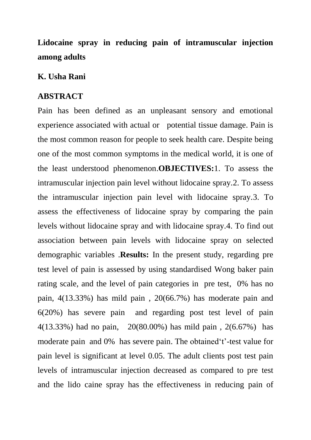**Lidocaine spray in reducing pain of intramuscular injection among adults**

## **K. Usha Rani**

## **ABSTRACT**

Pain has been defined as an unpleasant sensory and emotional experience associated with actual or potential tissue damage. Pain is the most common reason for people to seek health care. Despite being one of the most common symptoms in the medical world, it is one of the least understood phenomenon.**OBJECTIVES:**1. To assess the intramuscular injection pain level without lidocaine spray.2. To assess the intramuscular injection pain level with lidocaine spray.3. To assess the effectiveness of lidocaine spray by comparing the pain levels without lidocaine spray and with lidocaine spray.4. To find out association between pain levels with lidocaine spray on selected demographic variables .**Results:** In the present study, regarding pre test level of pain is assessed by using standardised Wong baker pain rating scale, and the level of pain categories in pre test, 0% has no pain, 4(13.33%) has mild pain , 20(66.7%) has moderate pain and 6(20%) has severe pain and regarding post test level of pain 4(13.33%) had no pain, 20(80.00%) has mild pain , 2(6.67%) has moderate pain and 0% has severe pain. The obtained't'-test value for pain level is significant at level 0.05. The adult clients post test pain levels of intramuscular injection decreased as compared to pre test and the lido caine spray has the effectiveness in reducing pain of